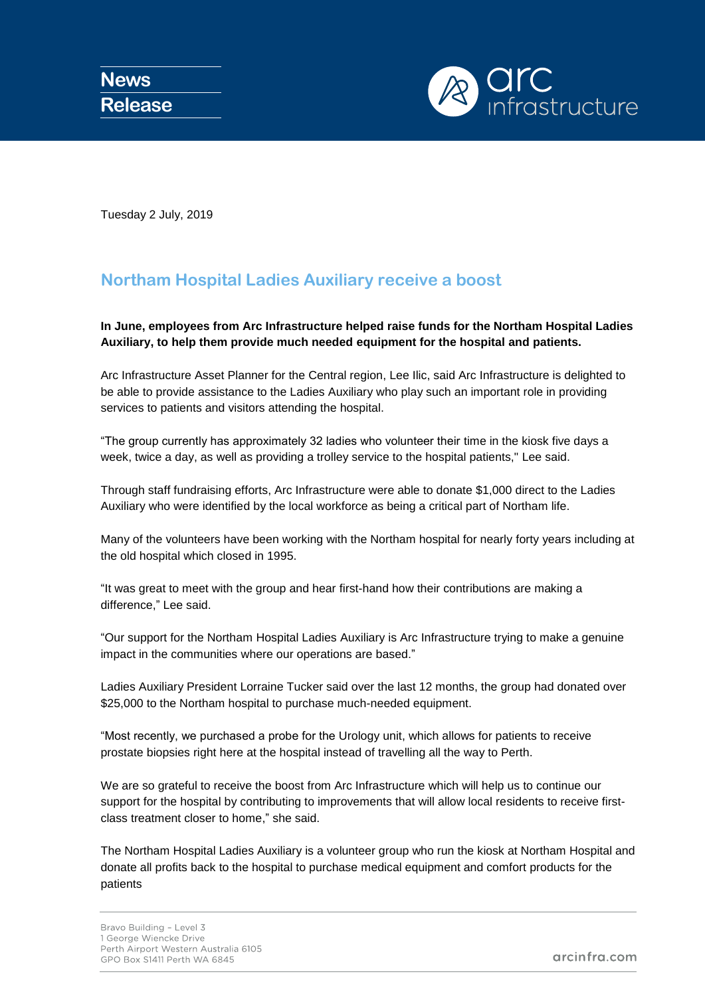

Tuesday 2 July, 2019

## **Northam Hospital Ladies Auxiliary receive a boost**

**In June, employees from Arc Infrastructure helped raise funds for the Northam Hospital Ladies Auxiliary, to help them provide much needed equipment for the hospital and patients.**

Arc Infrastructure Asset Planner for the Central region, Lee Ilic, said Arc Infrastructure is delighted to be able to provide assistance to the Ladies Auxiliary who play such an important role in providing services to patients and visitors attending the hospital.

"The group currently has approximately 32 ladies who volunteer their time in the kiosk five days a week, twice a day, as well as providing a trolley service to the hospital patients," Lee said.

Through staff fundraising efforts, Arc Infrastructure were able to donate \$1,000 direct to the Ladies Auxiliary who were identified by the local workforce as being a critical part of Northam life.

Many of the volunteers have been working with the Northam hospital for nearly forty years including at the old hospital which closed in 1995.

"It was great to meet with the group and hear first-hand how their contributions are making a difference," Lee said.

"Our support for the Northam Hospital Ladies Auxiliary is Arc Infrastructure trying to make a genuine impact in the communities where our operations are based."

Ladies Auxiliary President Lorraine Tucker said over the last 12 months, the group had donated over \$25,000 to the Northam hospital to purchase much-needed equipment.

"Most recently, we purchased a probe for the Urology unit, which allows for patients to receive prostate biopsies right here at the hospital instead of travelling all the way to Perth.

We are so grateful to receive the boost from Arc Infrastructure which will help us to continue our support for the hospital by contributing to improvements that will allow local residents to receive firstclass treatment closer to home," she said.

The Northam Hospital Ladies Auxiliary is a volunteer group who run the kiosk at Northam Hospital and donate all profits back to the hospital to purchase medical equipment and comfort products for the patients